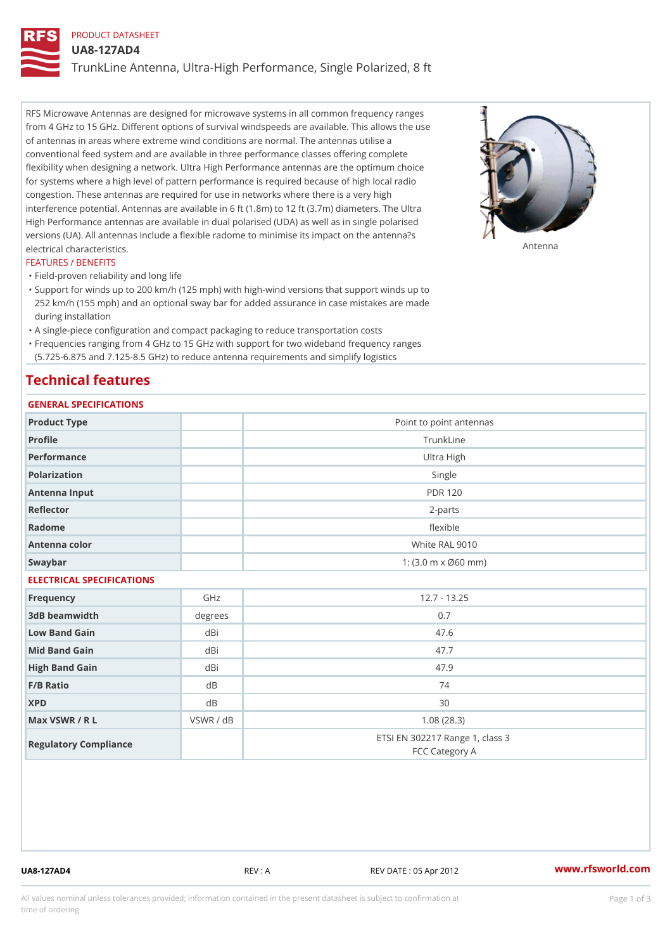## PRODUCT DATASHEET

UA8-127AD4

TrunkLine Antenna, Ultra-High Performance, Single Polarized, 8 ft

RFS Microwave Antennas are designed for microwave systems in all common frequency ranges from 4 GHz to 15 GHz. Different options of survival windspeeds are available. This allows the use of antennas in areas where extreme wind conditions are normal. The antennas utilise a conventional feed system and are available in three performance classes offering complete flexibility when designing a network. Ultra High Performance antennas are the optimum choice for systems where a high level of pattern performance is required because of high local radio congestion. These antennas are required for use in networks where there is a very high interference potential. Antennas are available in 6 ft (1.8m) to 12 ft (3.7m) diameters. The Ultra High Performance antennas are available in dual polarised (UDA) as well as in single polarised versions (UA). All antennas include a flexible radome to minimise its impact on the antenna?s electrical characteristics. Antenna

#### FEATURES / BENEFITS

"Field-proven reliability and long life

- Support for winds up to 200 km/h (125 mph) with high-wind versions that support winds up to " 252 km/h (155 mph) and an optional sway bar for added assurance in case mistakes are made during installation
- "A single-piece configuration and compact packaging to reduce transportation costs
- Frequencies ranging from 4 GHz to 15 GHz with support for two wideband frequency ranges "
- (5.725-6.875 and 7.125-8.5 GHz) to reduce antenna requirements and simplify logistics

### Technical features

## GENERAL SPECIFICATIONS

| GENERAL SELGIFICATIONS    |              |                                                   |  |  |
|---------------------------|--------------|---------------------------------------------------|--|--|
| Product Type              |              | Point to point antennas                           |  |  |
| Profile                   |              | TrunkLine                                         |  |  |
| Performance               |              | Ultra High                                        |  |  |
| Polarization              |              | Single                                            |  |  |
| Antenna Input             |              | <b>PDR 120</b>                                    |  |  |
| Reflector                 | $2 - p$ arts |                                                   |  |  |
| Radome                    |              | flexible                                          |  |  |
| Antenna color             |              | White RAL 9010                                    |  |  |
| Swaybar                   |              | 1: $(3.0 m \times 060 mm)$                        |  |  |
| ELECTRICAL SPECIFICATIONS |              |                                                   |  |  |
| Frequency                 | GHz          | $12.7 - 13.25$                                    |  |  |
| 3dB beamwidth             | degree       | 0.7                                               |  |  |
| Low Band Gain             | dBi          | 47.6                                              |  |  |
| Mid Band Gain             | dBi          | 47.7                                              |  |  |
| High Band Gain            | dBi          | 47.9                                              |  |  |
| F/B Ratio                 | d B          | 74                                                |  |  |
| <b>XPD</b>                | d B          | 30                                                |  |  |
| Max VSWR / R L            | VSWR / dB    | 1.08(28.3)                                        |  |  |
| Regulatory Compliance     |              | ETSI EN 302217 Range 1, class 3<br>FCC Category A |  |  |

UA8-127AD4 REV : A REV DATE : 05 Apr 2012 [www.](https://www.rfsworld.com)rfsworld.com

All values nominal unless tolerances provided; information contained in the present datasheet is subject to Pcapgeign mation time of ordering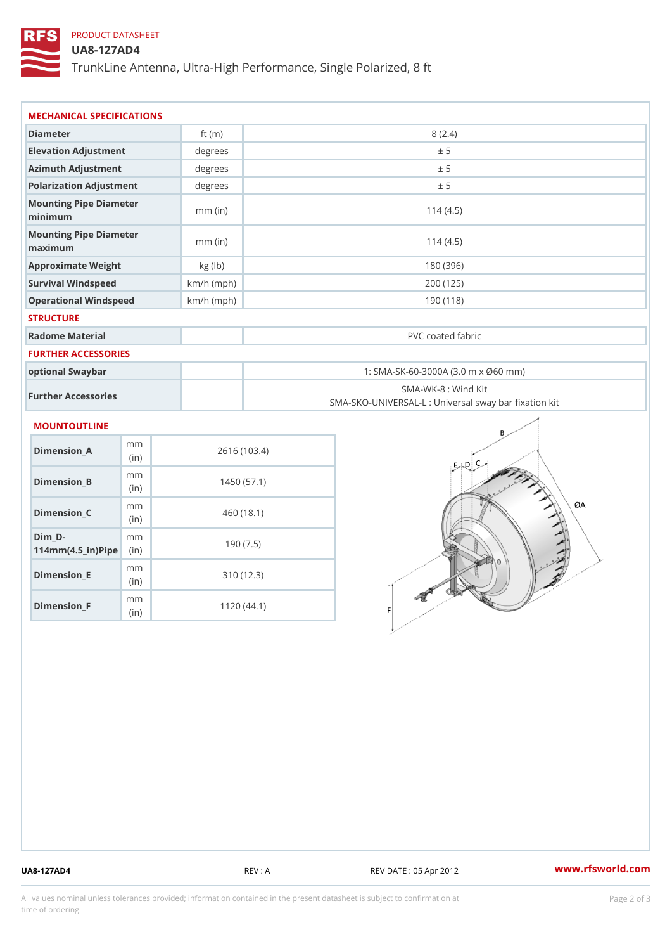## PRODUCT DATASHEET

### UA8-127AD4

TrunkLine Antenna, Ultra-High Performance, Single Polarized, 8 ft

| MECHANICAL SPECIFICATIONS                                               |              |                                                                          |  |
|-------------------------------------------------------------------------|--------------|--------------------------------------------------------------------------|--|
| Diameter                                                                | ft $(m)$     | 8(2.4)                                                                   |  |
| Elevation Adjustment                                                    | degrees      | ± 5                                                                      |  |
| Azimuth Adjustment                                                      | degrees      | ± 5                                                                      |  |
| Polarization Adjustment                                                 | degrees      | ± 5                                                                      |  |
| Mounting Pipe Diameter<br>minimum                                       | $mm$ (in)    | 114(4.5)                                                                 |  |
| Mounting Pipe Diameter<br>maximum                                       | $mm$ (in)    | 114(4.5)                                                                 |  |
| Approximate Weight                                                      | kg (lb)      | 180 (396)                                                                |  |
| Survival Windspeed                                                      | $km/h$ (mph) | 200 (125)                                                                |  |
| Operational Windspeed                                                   | $km/h$ (mph) | 190 (118)                                                                |  |
| <b>STRUCTURE</b>                                                        |              |                                                                          |  |
| Radome Material                                                         |              | PVC coated fabric                                                        |  |
| FURTHER ACCESSORIES                                                     |              |                                                                          |  |
| optional Swaybar                                                        |              | 1: SMA-SK-60-3000A (3.0 m x Ø60 mm)                                      |  |
| Further Accessories                                                     |              | SMA-WK-8 : Wind Kit<br>SMA-SKO-UNIVERSAL-L : Universal sway bar fixation |  |
| <b>MOUNTOUTLINE</b>                                                     |              |                                                                          |  |
| m m<br>$Dimension_A$<br>(in)                                            |              | 2616 (103.4)                                                             |  |
| m m<br>Dimension_B<br>(in)                                              |              | 1450(57.1)                                                               |  |
| m m<br>$Dimension_C$<br>(in)                                            |              | 460 (18.1)                                                               |  |
| $Dim_D - D -$<br>m m<br>$114$ m m (4.5_ir) $\mathbb{R}$ in $\mathbb{R}$ |              | 190(7.5)                                                                 |  |
|                                                                         |              |                                                                          |  |

Dimension\_E

Dimension\_F

mm (in)

m<sub>m</sub> (in)

310 (12.3)

1120 (44.1)

UA8-127AD4 REV : A REV DATE : 05 Apr 2012 [www.](https://www.rfsworld.com)rfsworld.com